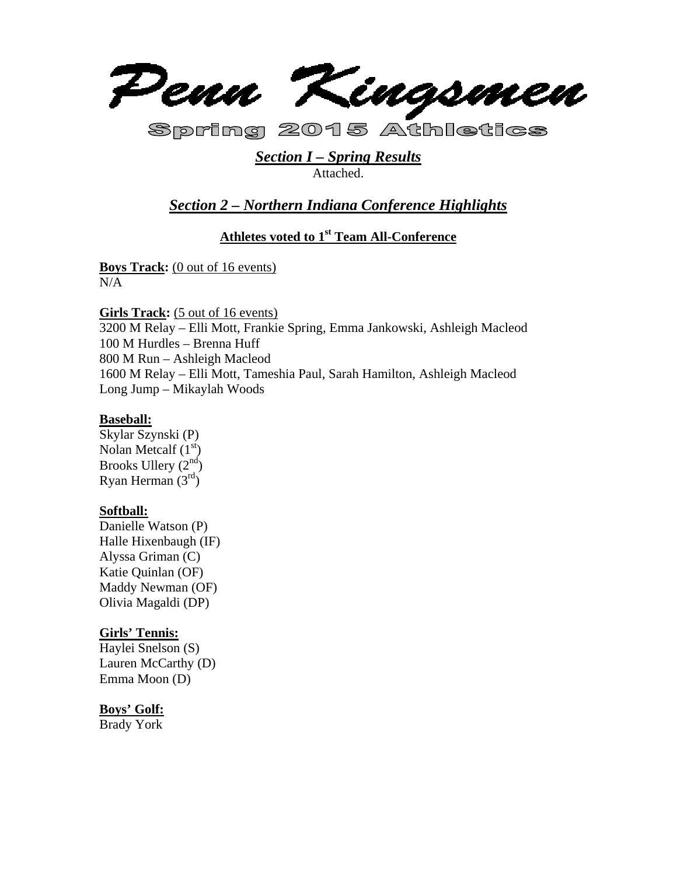

Spring 2015 Athletics

## *Section I – Spring Results*  Attached.

# *Section 2 – Northern Indiana Conference Highlights*

## **Athletes voted to 1st Team All-Conference**

**Boys Track:** (0 out of 16 events) N/A

**Girls Track:** (5 out of 16 events) 3200 M Relay – Elli Mott, Frankie Spring, Emma Jankowski, Ashleigh Macleod 100 M Hurdles – Brenna Huff 800 M Run – Ashleigh Macleod 1600 M Relay – Elli Mott, Tameshia Paul, Sarah Hamilton, Ashleigh Macleod Long Jump – Mikaylah Woods

## **Baseball:**

Skylar Szynski (P) Nolan Metcalf  $(1<sup>st</sup>)$ Brooks Ullery  $(2<sup>nd</sup>)$ Ryan Herman  $(3<sup>rd</sup>)$ 

## **Softball:**

Danielle Watson (P) Halle Hixenbaugh (IF) Alyssa Griman (C) Katie Quinlan (OF) Maddy Newman (OF) Olivia Magaldi (DP)

## **Girls' Tennis:**

Haylei Snelson (S) Lauren McCarthy (D) Emma Moon (D)

## **Boys' Golf:**

Brady York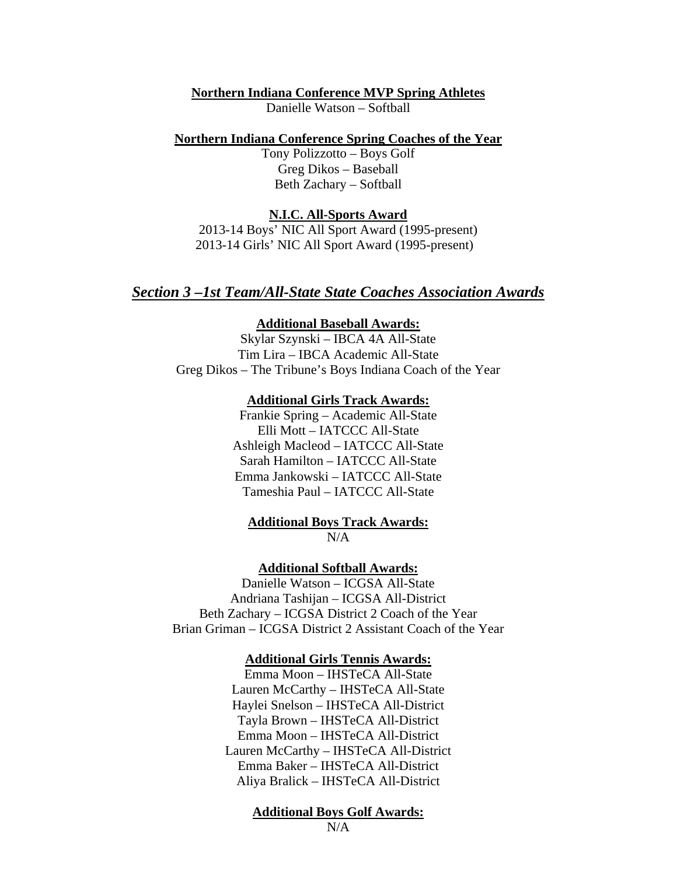### **Northern Indiana Conference MVP Spring Athletes**

Danielle Watson – Softball

#### **Northern Indiana Conference Spring Coaches of the Year**

Tony Polizzotto – Boys Golf Greg Dikos – Baseball Beth Zachary – Softball

### **N.I.C. All-Sports Award**

2013-14 Boys' NIC All Sport Award (1995-present) 2013-14 Girls' NIC All Sport Award (1995-present)

### *Section 3 –1st Team/All-State State Coaches Association Awards*

### **Additional Baseball Awards:**

Skylar Szynski – IBCA 4A All-State Tim Lira – IBCA Academic All-State Greg Dikos – The Tribune's Boys Indiana Coach of the Year

### **Additional Girls Track Awards:**

Frankie Spring – Academic All-State Elli Mott – IATCCC All-State Ashleigh Macleod – IATCCC All-State Sarah Hamilton – IATCCC All-State Emma Jankowski – IATCCC All-State Tameshia Paul – IATCCC All-State

**Additional Boys Track Awards:**   $N/A$ 

**Additional Softball Awards:** 

Danielle Watson – ICGSA All-State Andriana Tashijan – ICGSA All-District Beth Zachary – ICGSA District 2 Coach of the Year Brian Griman – ICGSA District 2 Assistant Coach of the Year

### **Additional Girls Tennis Awards:**

Emma Moon – IHSTeCA All-State Lauren McCarthy – IHSTeCA All-State Haylei Snelson – IHSTeCA All-District Tayla Brown – IHSTeCA All-District Emma Moon – IHSTeCA All-District Lauren McCarthy – IHSTeCA All-District Emma Baker – IHSTeCA All-District Aliya Bralick – IHSTeCA All-District

### **Additional Boys Golf Awards:**

 $N/A$